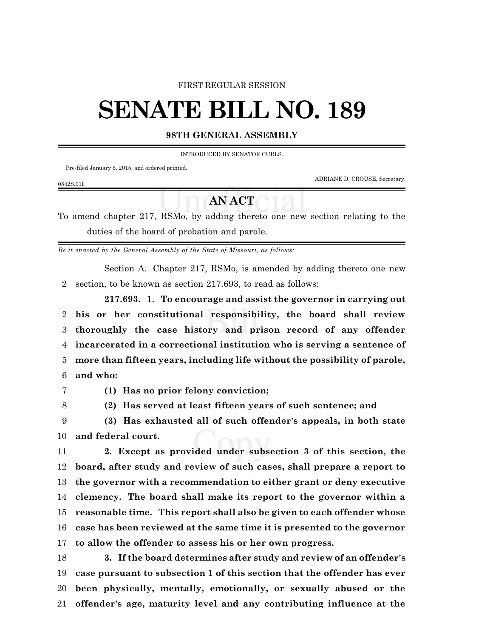## FIRST REGULAR SESSION

## **SENATE BILL NO. 189**

## **98TH GENERAL ASSEMBLY**

INTRODUCED BY SENATOR CURLS.

**AN ACT**

Pre-filed January 5, 2015, and ordered printed.

ADRIANE D. CROUSE, Secretary.

To amend chapter 217, RSMo, by adding thereto one new section relating to the

duties of the board of probation and parole.

*Be it enacted by the General Assembly of the State of Missouri, as follows:*

Section A. Chapter 217, RSMo, is amended by adding thereto one new section, to be known as section 217.693, to read as follows:

**217.693. 1. To encourage and assist the governor in carrying out his or her constitutional responsibility, the board shall review thoroughly the case history and prison record of any offender incarcerated in a correctional institution who is serving a sentence of more than fifteen years, including life without the possibility of parole, and who:**

0842S.01I

**(1) Has no prior felony conviction;**

**(2) Has served at least fifteen years of such sentence; and**

 **(3) Has exhausted all of such offender's appeals, in both state and federal court.**

 **2. Except as provided under subsection 3 of this section, the board, after study and review of such cases, shall prepare a report to the governor with a recommendation to either grant or deny executive clemency. The board shall make its report to the governor within a reasonable time. This report shall also be given to each offender whose case has been reviewed at the same time it is presented to the governor to allow the offender to assess his or her own progress.**

 **3. If the board determines after study and review of an offender's case pursuant to subsection 1 of this section that the offender has ever been physically, mentally, emotionally, or sexually abused or the offender's age, maturity level and any contributing influence at the**